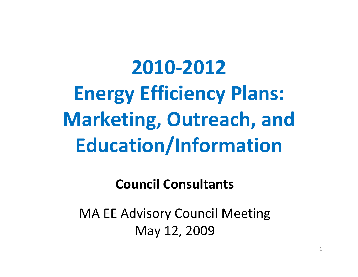# **2010‐2012Energy Efficiency Plans: Marketing, Outreach, and Education/Information**

#### **Council Consultants**

MA EE Advisory Council Meeting May 12, 2009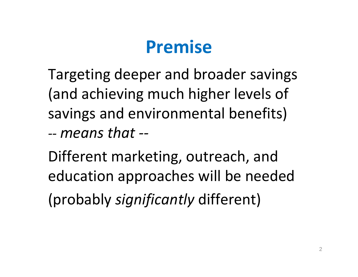### **Premise**

Targeting deeper and broader savings (and achieving much higher levels of savings and environmental benefits) *‐‐ means that ‐‐*

Different marketing, outreach, and education approaches will be needed (probably *significantly* different)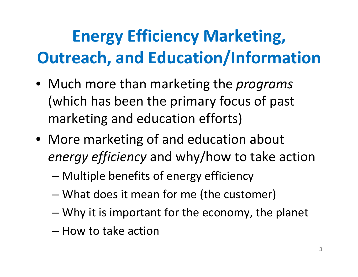# **Energy Efficiency Marketing, Outreach, and Education/Information**

- Much more than marketing the *programs* (which has been the primary focus of past marketing and education efforts)
- More marketing of and education about *energy efficiency* and why/how to take action
	- –Multiple benefits of energy efficiency
	- –What does it mean for me (the customer)
	- –Why it is important for the economy, the planet
	- How to take action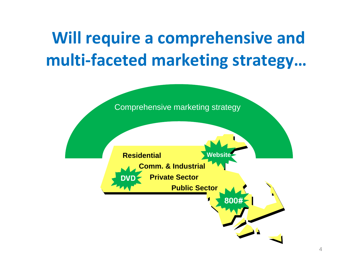# **Will require <sup>a</sup> comprehensive and multi‐faceted marketing strategy…**